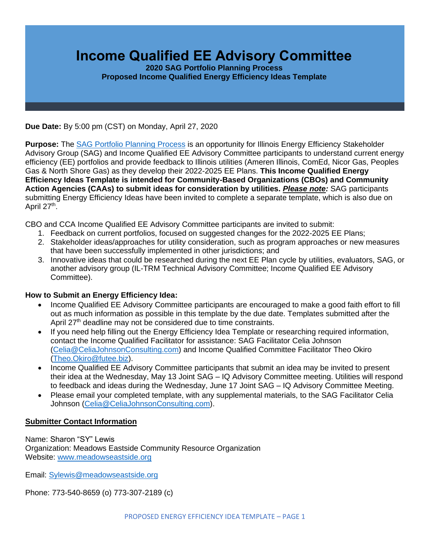# **Income Qualified EE Advisory Committee**

**2020 SAG Portfolio Planning Process Proposed Income Qualified Energy Efficiency Ideas Template**

**Due Date:** By 5:00 pm (CST) on Monday, April 27, 2020

**Purpose:** The [SAG Portfolio Planning Process](https://www.ilsag.info/meetings/portfolio-planning-process/) is an opportunity for Illinois Energy Efficiency Stakeholder Advisory Group (SAG) and Income Qualified EE Advisory Committee participants to understand current energy efficiency (EE) portfolios and provide feedback to Illinois utilities (Ameren Illinois, ComEd, Nicor Gas, Peoples Gas & North Shore Gas) as they develop their 2022-2025 EE Plans. **This Income Qualified Energy Efficiency Ideas Template is intended for Community-Based Organizations (CBOs) and Community Action Agencies (CAAs) to submit ideas for consideration by utilities.** *Please note:* SAG participants submitting Energy Efficiency Ideas have been invited to complete a separate template, which is also due on April 27<sup>th</sup>.

CBO and CCA Income Qualified EE Advisory Committee participants are invited to submit:

- 1. Feedback on current portfolios, focused on suggested changes for the 2022-2025 EE Plans;
- 2. Stakeholder ideas/approaches for utility consideration, such as program approaches or new measures that have been successfully implemented in other jurisdictions; and
- 3. Innovative ideas that could be researched during the next EE Plan cycle by utilities, evaluators, SAG, or another advisory group (IL-TRM Technical Advisory Committee; Income Qualified EE Advisory Committee).

#### **How to Submit an Energy Efficiency Idea:**

- Income Qualified EE Advisory Committee participants are encouraged to make a good faith effort to fill out as much information as possible in this template by the due date. Templates submitted after the April 27<sup>th</sup> deadline may not be considered due to time constraints.
- If you need help filling out the Energy Efficiency Idea Template or researching required information, contact the Income Qualified Facilitator for assistance: SAG Facilitator Celia Johnson [\(Celia@CeliaJohnsonConsulting.com\)](mailto:Celia@CeliaJohnsonConsulting.com) and Income Qualified Committee Facilitator Theo Okiro [\(Theo.Okiro@futee.biz\)](mailto:Theo.Okiro@futee.biz).
- Income Qualified EE Advisory Committee participants that submit an idea may be invited to present their idea at the Wednesday, May 13 Joint SAG – IQ Advisory Committee meeting. Utilities will respond to feedback and ideas during the Wednesday, June 17 Joint SAG – IQ Advisory Committee Meeting.
- Please email your completed template, with any supplemental materials, to the SAG Facilitator Celia Johnson [\(Celia@CeliaJohnsonConsulting.com\)](mailto:Celia@CeliaJohnsonConsulting.com).

#### **Submitter Contact Information**

Name: Sharon "SY" Lewis Organization: Meadows Eastside Community Resource Organization Website: [www.meadowseastside.org](http://www.meadowseastside.org/)

Email: [Sylewis@meadowseastside.org](mailto:Sylewis@meadowseastside.org)

Phone: 773-540-8659 (o) 773-307-2189 (c)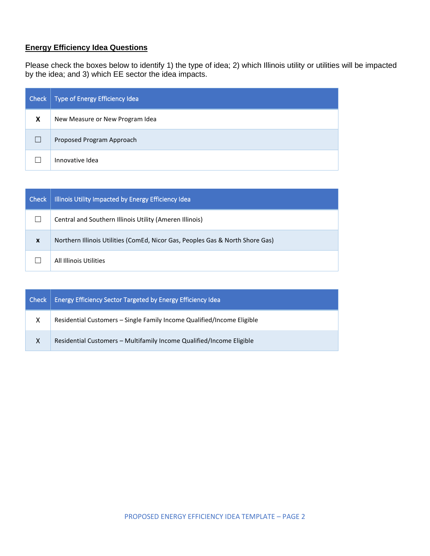## **Energy Efficiency Idea Questions**

Please check the boxes below to identify 1) the type of idea; 2) which Illinois utility or utilities will be impacted by the idea; and 3) which EE sector the idea impacts.

| Check | Type of Energy Efficiency Idea  |
|-------|---------------------------------|
| X     | New Measure or New Program Idea |
|       | Proposed Program Approach       |
|       | Innovative Idea                 |

| Check            | Illinois Utility Impacted by Energy Efficiency Idea                           |
|------------------|-------------------------------------------------------------------------------|
|                  | Central and Southern Illinois Utility (Ameren Illinois)                       |
| $\boldsymbol{x}$ | Northern Illinois Utilities (ComEd, Nicor Gas, Peoples Gas & North Shore Gas) |
|                  | All Illinois Utilities                                                        |

| Check | Energy Efficiency Sector Targeted by Energy Efficiency Idea            |
|-------|------------------------------------------------------------------------|
| X     | Residential Customers - Single Family Income Qualified/Income Eligible |
| X     | Residential Customers - Multifamily Income Qualified/Income Eligible   |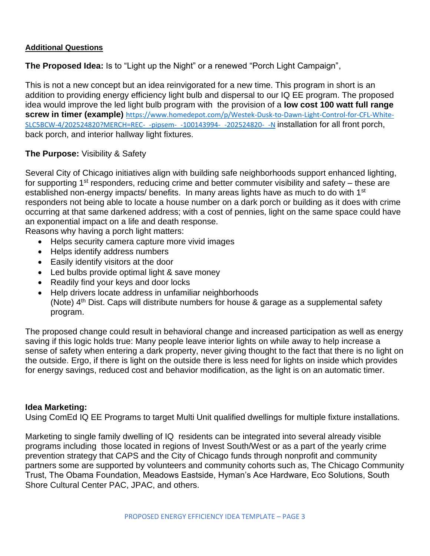### **Additional Questions**

**The Proposed Idea:** Is to "Light up the Night" or a renewed "Porch Light Campaign",

This is not a new concept but an idea reinvigorated for a new time. This program in short is an addition to providing energy efficiency light bulb and dispersal to our IQ EE program. The proposed idea would improve the led light bulb program with the provision of a **low cost 100 watt full range screw in timer (example)** [https://www.homedepot.com/p/Westek-Dusk-to-Dawn-Light-Control-for-CFL-White-](https://www.homedepot.com/p/Westek-Dusk-to-Dawn-Light-Control-for-CFL-White-SLC5BCW-4/202524820?MERCH=REC-_-pipsem-_-100143994-_-202524820-_-N)[SLC5BCW-4/202524820?MERCH=REC-\\_-pipsem-\\_-100143994-\\_-202524820-\\_-N](https://www.homedepot.com/p/Westek-Dusk-to-Dawn-Light-Control-for-CFL-White-SLC5BCW-4/202524820?MERCH=REC-_-pipsem-_-100143994-_-202524820-_-N) installation for all front porch, back porch, and interior hallway light fixtures.

## **The Purpose:** Visibility & Safety

Several City of Chicago initiatives align with building safe neighborhoods support enhanced lighting, for supporting 1<sup>st</sup> responders, reducing crime and better commuter visibility and safety – these are established non-energy impacts/ benefits. In many areas lights have as much to do with 1<sup>st</sup> responders not being able to locate a house number on a dark porch or building as it does with crime occurring at that same darkened address; with a cost of pennies, light on the same space could have an exponential impact on a life and death response.

Reasons why having a porch light matters:

- Helps security camera capture more vivid images
- Helps identify address numbers
- Easily identify visitors at the door
- Led bulbs provide optimal light & save money
- Readily find your keys and door locks
- Help drivers locate address in unfamiliar neighborhoods (Note)  $4<sup>th</sup>$  Dist. Caps will distribute numbers for house & garage as a supplemental safety program.

The proposed change could result in behavioral change and increased participation as well as energy saving if this logic holds true: Many people leave interior lights on while away to help increase a sense of safety when entering a dark property, never giving thought to the fact that there is no light on the outside. Ergo, if there is light on the outside there is less need for lights on inside which provides for energy savings, reduced cost and behavior modification, as the light is on an automatic timer.

## **Idea Marketing:**

Using ComEd IQ EE Programs to target Multi Unit qualified dwellings for multiple fixture installations.

Marketing to single family dwelling of IQ residents can be integrated into several already visible programs including those located in regions of Invest South/West or as a part of the yearly crime prevention strategy that CAPS and the City of Chicago funds through nonprofit and community partners some are supported by volunteers and community cohorts such as, The Chicago Community Trust, The Obama Foundation, Meadows Eastside, Hyman's Ace Hardware, Eco Solutions, South Shore Cultural Center PAC, JPAC, and others.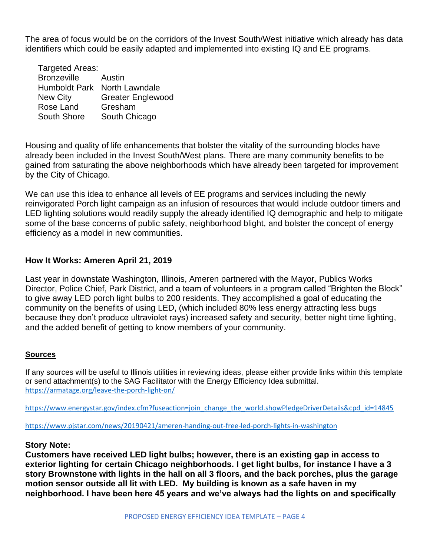The area of focus would be on the corridors of the Invest South/West initiative which already has data identifiers which could be easily adapted and implemented into existing IQ and EE programs.

| Targeted Areas:      |                          |
|----------------------|--------------------------|
| <b>Bronzeville</b>   | Austin                   |
| <b>Humboldt Park</b> | North Lawndale           |
| <b>New City</b>      | <b>Greater Englewood</b> |
| Rose Land            | Gresham                  |
| <b>South Shore</b>   | South Chicago            |

Housing and quality of life enhancements that bolster the vitality of the surrounding blocks have already been included in the Invest South/West plans. There are many community benefits to be gained from saturating the above neighborhoods which have already been targeted for improvement by the City of Chicago.

We can use this idea to enhance all levels of EE programs and services including the newly reinvigorated Porch light campaign as an infusion of resources that would include outdoor timers and LED lighting solutions would readily supply the already identified IQ demographic and help to mitigate some of the base concerns of public safety, neighborhood blight, and bolster the concept of energy efficiency as a model in new communities.

## **How It Works: Ameren April 21, 2019**

Last year in downstate Washington, Illinois, Ameren partnered with the Mayor, Publics Works Director, Police Chief, Park District, and a team of volunteers in a program called "Brighten the Block" to give away LED porch light bulbs to 200 residents. They accomplished a goal of educating the community on the benefits of using LED, (which included 80% less energy attracting less bugs because they don't produce ultraviolet rays) increased safety and security, better night time lighting, and the added benefit of getting to know members of your community.

#### **Sources**

If any sources will be useful to Illinois utilities in reviewing ideas, please either provide links within this template or send attachment(s) to the SAG Facilitator with the Energy Efficiency Idea submittal. <https://armatage.org/leave-the-porch-light-on/>

[https://www.energystar.gov/index.cfm?fuseaction=join\\_change\\_the\\_world.showPledgeDriverDetails&cpd\\_id=14845](https://www.energystar.gov/index.cfm?fuseaction=join_change_the_world.showPledgeDriverDetails&cpd_id=14845)

<https://www.pjstar.com/news/20190421/ameren-handing-out-free-led-porch-lights-in-washington>

#### **Story Note:**

**Customers have received LED light bulbs; however, there is an existing gap in access to exterior lighting for certain Chicago neighborhoods. I get light bulbs, for instance I have a 3 story Brownstone with lights in the hall on all 3 floors, and the back porches, plus the garage motion sensor outside all lit with LED. My building is known as a safe haven in my neighborhood. I have been here 45 years and we've always had the lights on and specifically**